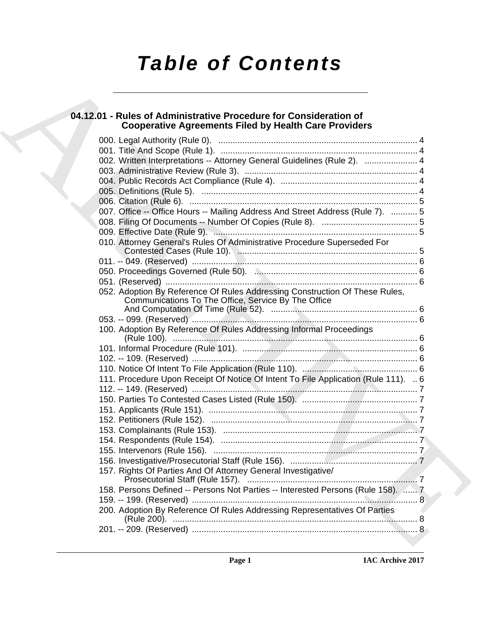# *Table of Contents*

## **04.12.01 - Rules of Administrative Procedure for Consideration of Cooperative Agreements Filed by Health Care Providers**

| 04.12.01 - Rules of Administrative Procedure for Consideration of<br><b>Cooperative Agreements Filed by Health Care Providers</b>  |
|------------------------------------------------------------------------------------------------------------------------------------|
|                                                                                                                                    |
|                                                                                                                                    |
| 002. Written Interpretations -- Attorney General Guidelines (Rule 2).  4                                                           |
|                                                                                                                                    |
|                                                                                                                                    |
|                                                                                                                                    |
|                                                                                                                                    |
| 007. Office -- Office Hours -- Mailing Address And Street Address (Rule 7).  5                                                     |
|                                                                                                                                    |
|                                                                                                                                    |
| 010. Attorney General's Rules Of Administrative Procedure Superseded For                                                           |
|                                                                                                                                    |
|                                                                                                                                    |
|                                                                                                                                    |
| 052. Adoption By Reference Of Rules Addressing Construction Of These Rules,<br>Communications To The Office, Service By The Office |
|                                                                                                                                    |
| 100. Adoption By Reference Of Rules Addressing Informal Proceedings                                                                |
|                                                                                                                                    |
|                                                                                                                                    |
|                                                                                                                                    |
| 111. Procedure Upon Receipt Of Notice Of Intent To File Application (Rule 111).  6                                                 |
|                                                                                                                                    |
|                                                                                                                                    |
|                                                                                                                                    |
|                                                                                                                                    |
|                                                                                                                                    |
|                                                                                                                                    |
|                                                                                                                                    |
|                                                                                                                                    |
| 157. Rights Of Parties And Of Attorney General Investigative/                                                                      |
| 158. Persons Defined -- Persons Not Parties -- Interested Persons (Rule 158).  7                                                   |
|                                                                                                                                    |
| 200. Adoption By Reference Of Rules Addressing Representatives Of Parties                                                          |
|                                                                                                                                    |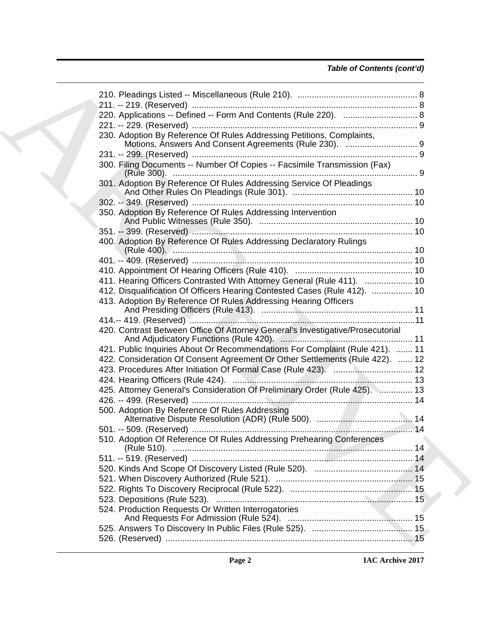## *Table of Contents (cont'd)*

| 220. Applications -- Defined -- Form And Contents (Rule 220).  8                  |  |
|-----------------------------------------------------------------------------------|--|
|                                                                                   |  |
| 230. Adoption By Reference Of Rules Addressing Petitions, Complaints,             |  |
|                                                                                   |  |
| 300. Filing Documents -- Number Of Copies -- Facsimile Transmission (Fax)         |  |
|                                                                                   |  |
| 301. Adoption By Reference Of Rules Addressing Service Of Pleadings               |  |
|                                                                                   |  |
| 350. Adoption By Reference Of Rules Addressing Intervention                       |  |
|                                                                                   |  |
| 400. Adoption By Reference Of Rules Addressing Declaratory Rulings                |  |
|                                                                                   |  |
|                                                                                   |  |
| 411. Hearing Officers Contrasted With Attorney General (Rule 411).  10            |  |
| 412. Disqualification Of Officers Hearing Contested Cases (Rule 412).  10         |  |
| 413. Adoption By Reference Of Rules Addressing Hearing Officers                   |  |
|                                                                                   |  |
|                                                                                   |  |
| 420. Contrast Between Office Of Attorney General's Investigative/Prosecutorial    |  |
| 421. Public Inquiries About Or Recommendations For Complaint (Rule 421).  11      |  |
| 422. Consideration Of Consent Agreement Or Other Settlements (Rule 422).  12      |  |
| 423. Procedures After Initiation Of Formal Case (Rule 423).  12                   |  |
|                                                                                   |  |
| 425. Attorney General's Consideration Of Preliminary Order (Rule 425). Museum. 13 |  |
|                                                                                   |  |
| 500. Adoption By Reference Of Rules Addressing                                    |  |
|                                                                                   |  |
| 510. Adoption Of Reference Of Rules Addressing Prehearing Conferences             |  |
|                                                                                   |  |
|                                                                                   |  |
|                                                                                   |  |
|                                                                                   |  |
|                                                                                   |  |
| 524. Production Requests Or Written Interrogatories                               |  |
|                                                                                   |  |
|                                                                                   |  |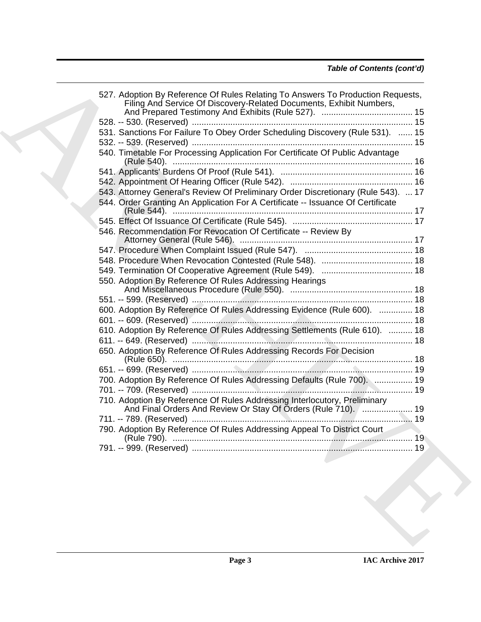| Filing And Service Of Discovery-Related Documents, Exhibit Numbers,               |  |
|-----------------------------------------------------------------------------------|--|
|                                                                                   |  |
| 531. Sanctions For Failure To Obey Order Scheduling Discovery (Rule 531).  15     |  |
|                                                                                   |  |
| 540. Timetable For Processing Application For Certificate Of Public Advantage     |  |
|                                                                                   |  |
|                                                                                   |  |
| 543. Attorney General's Review Of Preliminary Order Discretionary (Rule 543).  17 |  |
| 544. Order Granting An Application For A Certificate -- Issuance Of Certificate   |  |
|                                                                                   |  |
| 546. Recommendation For Revocation Of Certificate -- Review By                    |  |
|                                                                                   |  |
|                                                                                   |  |
|                                                                                   |  |
|                                                                                   |  |
| 550. Adoption By Reference Of Rules Addressing Hearings                           |  |
|                                                                                   |  |
|                                                                                   |  |
| 600. Adoption By Reference Of Rules Addressing Evidence (Rule 600).  18           |  |
|                                                                                   |  |
| 610. Adoption By Reference Of Rules Addressing Settlements (Rule 610).  18        |  |
|                                                                                   |  |
| 650. Adoption By Reference Of Rules Addressing Records For Decision               |  |
|                                                                                   |  |
|                                                                                   |  |
| 700. Adoption By Reference Of Rules Addressing Defaults (Rule 700).  19           |  |
|                                                                                   |  |
| 710. Adoption By Reference Of Rules Addressing Interlocutory, Preliminary         |  |
|                                                                                   |  |
|                                                                                   |  |
| 790. Adoption By Reference Of Rules Addressing Appeal To District Court           |  |
|                                                                                   |  |
|                                                                                   |  |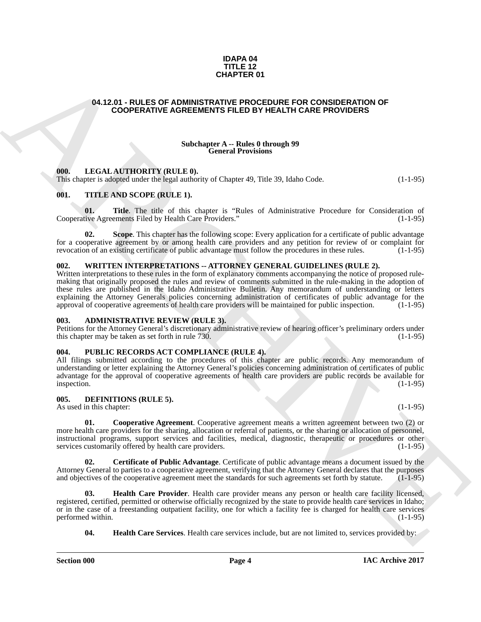#### **IDAPA 04 TITLE 12 CHAPTER 01**

## <span id="page-3-0"></span>**04.12.01 - RULES OF ADMINISTRATIVE PROCEDURE FOR CONSIDERATION OF COOPERATIVE AGREEMENTS FILED BY HEALTH CARE PROVIDERS**

#### **Subchapter A -- Rules 0 through 99 General Provisions**

#### <span id="page-3-1"></span>**000. LEGAL AUTHORITY (RULE 0).**

This chapter is adopted under the legal authority of Chapter 49, Title 39, Idaho Code. (1-1-95)

## <span id="page-3-2"></span>**001. TITLE AND SCOPE (RULE 1).**

**01.** Title. The title of this chapter is "Rules of Administrative Procedure for Consideration of tive Agreements Filed by Health Care Providers." (1-1-95) Cooperative Agreements Filed by Health Care Providers."

**02.** Scope. This chapter has the following scope: Every application for a certificate of public advantage for a cooperative agreement by or among health care providers and any petition for review of or complaint for revocation of an existing certificate of public advantage must follow the procedures in these rules. (1-1-95)

#### <span id="page-3-3"></span>**002. WRITTEN INTERPRETATIONS -- ATTORNEY GENERAL GUIDELINES (RULE 2).**

**GHAPTER OF**<br> **CHAPTER OF**<br> **CHAPTER OF**<br> **CHAPTER OF**<br> **COOPERATIVE AGREEMENTS PRIED BY HERATIV CARE PROOFIDERS**<br> **CHAPTER OF COOPERATIVE AGREEMENTS PRIED BY HERATIV CARE PROVIDERS**<br> **CHAPTER OF COOPERATIVE AGREEMENTS PR** Written interpretations to these rules in the form of explanatory comments accompanying the notice of proposed rulemaking that originally proposed the rules and review of comments submitted in the rule-making in the adoption of these rules are published in the Idaho Administrative Bulletin. Any memorandum of understanding or letters explaining the Attorney Generals policies concerning administration of certificates of public advantage for the approval of cooperative agreements of health care providers will be maintained for public inspection. (1-1-95)

#### <span id="page-3-4"></span>**003. ADMINISTRATIVE REVIEW (RULE 3).**

Petitions for the Attorney General's discretionary administrative review of hearing officer's preliminary orders under<br>this chapter may be taken as set forth in rule 730. this chapter may be taken as set forth in rule  $730$ .

#### <span id="page-3-5"></span>**004. PUBLIC RECORDS ACT COMPLIANCE (RULE 4).**

All filings submitted according to the procedures of this chapter are public records. Any memorandum of understanding or letter explaining the Attorney General's policies concerning administration of certificates of public advantage for the approval of cooperative agreements of health care providers are public records be available for inspection. (1-1-95) inspection. (1-1-95)

#### <span id="page-3-6"></span>**005. DEFINITIONS (RULE 5).**

As used in this chapter: (1-1-95) (1-1-95)

<span id="page-3-8"></span>**Cooperative Agreement**. Cooperative agreement means a written agreement between two (2) or more health care providers for the sharing, allocation or referral of patients, or the sharing or allocation of personnel, instructional programs, support services and facilities, medical, diagnostic, therapeutic or procedures or other<br>services customarily offered by health care providers. (1-1-95) services customarily offered by health care providers.

<span id="page-3-7"></span>**02. Certificate of Public Advantage**. Certificate of public advantage means a document issued by the Attorney General to parties to a cooperative agreement, verifying that the Attorney General declares that the purposes and objectives of the cooperative agreement meet the standards for such agreements set forth by statute and objectives of the cooperative agreement meet the standards for such agreements set forth by statute.

**03. Health Care Provider**. Health care provider means any person or health care facility licensed, registered, certified, permitted or otherwise officially recognized by the state to provide health care services in Idaho; or in the case of a freestanding outpatient facility, one for which a facility fee is charged for health care services performed within. (1-1-95) performed within.

<span id="page-3-10"></span><span id="page-3-9"></span>**04. Health Care Services**. Health care services include, but are not limited to, services provided by: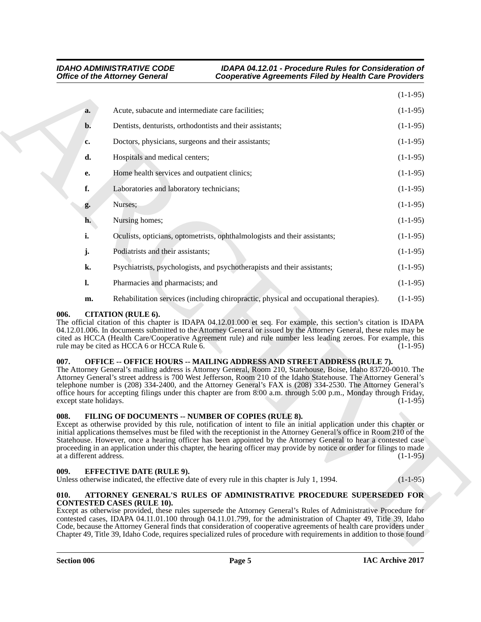|                                 | <b>Office of the Attorney General</b>                                    | <b>Cooperative Agreements Filed by Health Care Providers</b>                                                                                                                                                                                                                                                                                                                                                                                                                                                                                                 |            |
|---------------------------------|--------------------------------------------------------------------------|--------------------------------------------------------------------------------------------------------------------------------------------------------------------------------------------------------------------------------------------------------------------------------------------------------------------------------------------------------------------------------------------------------------------------------------------------------------------------------------------------------------------------------------------------------------|------------|
|                                 |                                                                          |                                                                                                                                                                                                                                                                                                                                                                                                                                                                                                                                                              | $(1-1-95)$ |
| a.                              | Acute, subacute and intermediate care facilities;                        |                                                                                                                                                                                                                                                                                                                                                                                                                                                                                                                                                              | $(1-1-95)$ |
| b.                              |                                                                          | Dentists, denturists, orthodontists and their assistants;                                                                                                                                                                                                                                                                                                                                                                                                                                                                                                    | $(1-1-95)$ |
| c.                              |                                                                          | Doctors, physicians, surgeons and their assistants;                                                                                                                                                                                                                                                                                                                                                                                                                                                                                                          | $(1-1-95)$ |
| d.                              | Hospitals and medical centers;                                           |                                                                                                                                                                                                                                                                                                                                                                                                                                                                                                                                                              | $(1-1-95)$ |
| е.                              | Home health services and outpatient clinics;                             |                                                                                                                                                                                                                                                                                                                                                                                                                                                                                                                                                              | $(1-1-95)$ |
| f.                              | Laboratories and laboratory technicians;                                 |                                                                                                                                                                                                                                                                                                                                                                                                                                                                                                                                                              | $(1-1-95)$ |
| g.                              | Nurses;                                                                  |                                                                                                                                                                                                                                                                                                                                                                                                                                                                                                                                                              | $(1-1-95)$ |
| h.                              | Nursing homes;                                                           |                                                                                                                                                                                                                                                                                                                                                                                                                                                                                                                                                              | $(1-1-95)$ |
| i.                              |                                                                          | Oculists, opticians, optometrists, ophthalmologists and their assistants;                                                                                                                                                                                                                                                                                                                                                                                                                                                                                    | $(1-1-95)$ |
| j.                              | Podiatrists and their assistants;                                        |                                                                                                                                                                                                                                                                                                                                                                                                                                                                                                                                                              | $(1-1-95)$ |
| k.                              |                                                                          | Psychiatrists, psychologists, and psychotherapists and their assistants;                                                                                                                                                                                                                                                                                                                                                                                                                                                                                     | $(1-1-95)$ |
| 1.                              | Pharmacies and pharmacists; and                                          |                                                                                                                                                                                                                                                                                                                                                                                                                                                                                                                                                              | $(1-1-95)$ |
| m.                              |                                                                          | Rehabilitation services (including chiropractic, physical and occupational therapies).                                                                                                                                                                                                                                                                                                                                                                                                                                                                       | $(1-1-95)$ |
| 006.                            | <b>CITATION (RULE 6).</b><br>rule may be cited as HCCA 6 or HCCA Rule 6. | The official citation of this chapter is IDAPA 04.12.01.000 et seq. For example, this section's citation is IDAPA<br>04.12.01.006. In documents submitted to the Attorney General or issued by the Attorney General, these rules may be<br>cited as HCCA (Health Care/Cooperative Agreement rule) and rule number less leading zeroes. For example, this                                                                                                                                                                                                     | $(1-1-95)$ |
| 007.<br>except state holidays.  |                                                                          | OFFICE -- OFFICE HOURS -- MAILING ADDRESS AND STREET ADDRESS (RULE 7).<br>The Attorney General's mailing address is Attorney General, Room 210, Statehouse, Boise, Idaho 83720-0010. The<br>Attorney General's street address is 700 West Jefferson, Room 210 of the Idaho Statehouse. The Attorney General's<br>telephone number is (208) 334-2400, and the Attorney General's FAX is (208) 334-2530. The Attorney General's<br>office hours for accepting filings under this chapter are from 8:00 a.m. through 5:00 p.m., Monday through Friday,          | $(1-1-95)$ |
| 008.<br>at a different address. |                                                                          | FILING OF DOCUMENTS -- NUMBER OF COPIES (RULE 8).<br>Except as otherwise provided by this rule, notification of intent to file an initial application under this chapter or<br>initial applications themselves must be filed with the receptionist in the Attorney General's office in Room 210 of the<br>Statehouse. However, once a hearing officer has been appointed by the Attorney General to hear a contested case<br>proceeding in an application under this chapter, the hearing officer may provide by notice or order for filings to made         | $(1-1-95)$ |
| 009.                            | <b>EFFECTIVE DATE (RULE 9).</b>                                          | Unless otherwise indicated, the effective date of every rule in this chapter is July 1, 1994.                                                                                                                                                                                                                                                                                                                                                                                                                                                                | $(1-1-95)$ |
| 010.                            | <b>CONTESTED CASES (RULE 10).</b>                                        | ATTORNEY GENERAL'S RULES OF ADMINISTRATIVE PROCEDURE SUPERSEDED FOR<br>Except as otherwise provided, these rules supersede the Attorney General's Rules of Administrative Procedure for<br>contested cases, IDAPA 04.11.01.100 through 04.11.01.799, for the administration of Chapter 49, Title 39, Idaho<br>Code, because the Attorney General finds that consideration of cooperative agreements of health care providers under<br>Chapter 49, Title 39, Idaho Code, requires specialized rules of procedure with requirements in addition to those found |            |

## <span id="page-4-0"></span>**006. CITATION (RULE 6).**

## <span id="page-4-1"></span>**007. OFFICE -- OFFICE HOURS -- MAILING ADDRESS AND STREET ADDRESS (RULE 7).**

## <span id="page-4-6"></span><span id="page-4-2"></span>**008. FILING OF DOCUMENTS -- NUMBER OF COPIES (RULE 8).**

## <span id="page-4-3"></span>**009. EFFECTIVE DATE (RULE 9).**

#### <span id="page-4-5"></span><span id="page-4-4"></span>**010. ATTORNEY GENERAL'S RULES OF ADMINISTRATIVE PROCEDURE SUPERSEDED FOR CONTESTED CASES (RULE 10).**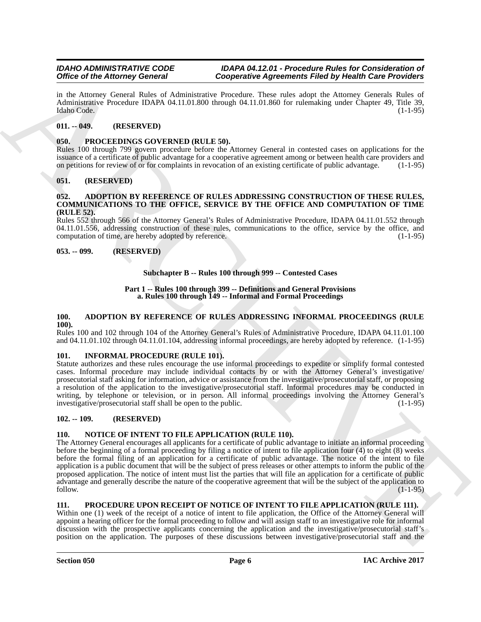in the Attorney General Rules of Administrative Procedure. These rules adopt the Attorney Generals Rules of Administrative Procedure IDAPA 04.11.01.800 through 04.11.01.860 for rulemaking under Chapter 49, Title 39, Idaho Code. (1-1-95) Idaho Code. (1-1-95)

## <span id="page-5-0"></span>**011. -- 049. (RESERVED)**

## <span id="page-5-13"></span><span id="page-5-1"></span>**050. PROCEEDINGS GOVERNED (RULE 50).**

Rules 100 through 799 govern procedure before the Attorney General in contested cases on applications for the issuance of a certificate of public advantage for a cooperative agreement among or between health care providers and on petitions for review of or for complaints in revocation of an existing certificate of public advantage. (1-1-95)

## <span id="page-5-2"></span>**051. (RESERVED)**

#### <span id="page-5-10"></span><span id="page-5-3"></span>**052. ADOPTION BY REFERENCE OF RULES ADDRESSING CONSTRUCTION OF THESE RULES, COMMUNICATIONS TO THE OFFICE, SERVICE BY THE OFFICE AND COMPUTATION OF TIME (RULE 52).**

Rules 552 through 566 of the Attorney General's Rules of Administrative Procedure, IDAPA 04.11.01.552 through 04.11.01.556, addressing construction of these rules, communications to the office, service by the office, and computation of time, are hereby adopted by reference. (1-1-95)

#### <span id="page-5-4"></span>**053. -- 099. (RESERVED)**

## **Subchapter B -- Rules 100 through 999 -- Contested Cases**

#### **Part 1 -- Rules 100 through 399 -- Definitions and General Provisions a. Rules 100 through 149 -- Informal and Formal Proceedings**

#### <span id="page-5-11"></span><span id="page-5-5"></span>**100. ADOPTION BY REFERENCE OF RULES ADDRESSING INFORMAL PROCEEDINGS (RULE 100).**

Rules 100 and 102 through 104 of the Attorney General's Rules of Administrative Procedure, IDAPA 04.11.01.100 and 04.11.01.102 through 04.11.01.104, addressing informal proceedings, are hereby adopted by reference. (1-1-95)

## <span id="page-5-6"></span>**101. INFORMAL PROCEDURE (RULE 101).**

Statute authorizes and these rules encourage the use informal proceedings to expedite or simplify formal contested cases. Informal procedure may include individual contacts by or with the Attorney General's investigative/ prosecutorial staff asking for information, advice or assistance from the investigative/prosecutorial staff, or proposing a resolution of the application to the investigative/prosecutorial staff. Informal procedures may be conducted in writing, by telephone or television, or in person. All informal proceedings involving the Attorney General's investigative/prosecutorial staff shall be open to the public. (1-1-95)

## <span id="page-5-7"></span>**102. -- 109. (RESERVED)**

## <span id="page-5-8"></span>**110. NOTICE OF INTENT TO FILE APPLICATION (RULE 110).**

Office of Marcia Proposition Control (Copies and New York 19 (September Research Field by Holes Control (Copies and New York 1976)<br>
An the Attempt Growth Risky of Almindating Proposition Research Field by Holes Character The Attorney General encourages all applicants for a certificate of public advantage to initiate an informal proceeding before the beginning of a formal proceeding by filing a notice of intent to file application four (4) to eight (8) weeks before the formal filing of an application for a certificate of public advantage. The notice of the intent to file application is a public document that will be the subject of press releases or other attempts to inform the public of the proposed application. The notice of intent must list the parties that will file an application for a certificate of public advantage and generally describe the nature of the cooperative agreement that will be the subject of the application to follow. follow. (1-1-95)

#### <span id="page-5-12"></span><span id="page-5-9"></span>**111. PROCEDURE UPON RECEIPT OF NOTICE OF INTENT TO FILE APPLICATION (RULE 111).**

Within one (1) week of the receipt of a notice of intent to file application, the Office of the Attorney General will appoint a hearing officer for the formal proceeding to follow and will assign staff to an investigative role for informal discussion with the prospective applicants concerning the application and the investigative/prosecutorial staff's position on the application. The purposes of these discussions between investigative/prosecutorial staff and the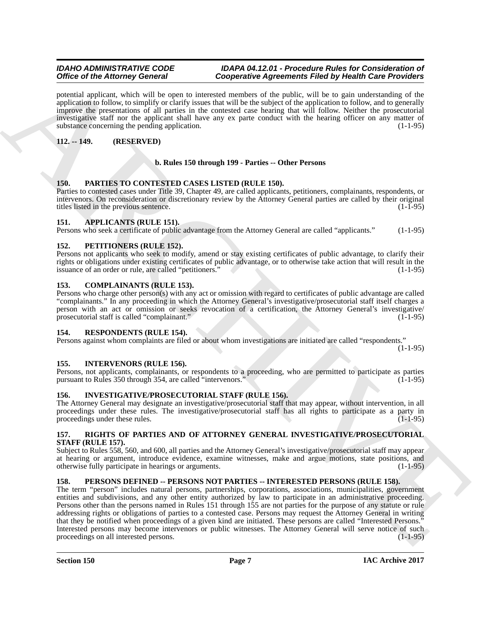potential applicant, which will be open to interested members of the public, will be to gain understanding of the application to follow, to simplify or clarify issues that will be the subject of the application to follow, and to generally improve the presentations of all parties in the contested case hearing that will follow. Neither the prosecutorial investigative staff nor the applicant shall have any ex parte conduct with the hearing officer on any matter of substance concerning the pending application. (1-1-95) (1-1-95)

## <span id="page-6-0"></span>**112. -- 149. (RESERVED)**

## **b. Rules 150 through 199 - Parties -- Other Persons**

## <span id="page-6-14"></span><span id="page-6-1"></span>**150. PARTIES TO CONTESTED CASES LISTED (RULE 150).**

Parties to contested cases under Title 39, Chapter 49, are called applicants, petitioners, complainants, respondents, or intervenors. On reconsideration or discretionary review by the Attorney General parties are called by their original titles listed in the previous sentence.

## <span id="page-6-10"></span><span id="page-6-2"></span>**151. APPLICANTS (RULE 151).**

Persons who seek a certificate of public advantage from the Attorney General are called "applicants." (1-1-95)

## <span id="page-6-15"></span><span id="page-6-3"></span>**152. PETITIONERS (RULE 152).**

Persons not applicants who seek to modify, amend or stay existing certificates of public advantage, to clarify their rights or obligations under existing certificates of public advantage, or to otherwise take action that will result in the issuance of an order or rule, are called "petitioners." (1-1-95)

## <span id="page-6-11"></span><span id="page-6-4"></span>**153. COMPLAINANTS (RULE 153).**

Persons who charge other person(s) with any act or omission with regard to certificates of public advantage are called "complainants." In any proceeding in which the Attorney General's investigative/prosecutorial staff itself charges a person with an act or omission or seeks revocation of a certification, the Attorney General's investigative/ prosecutorial staff is called "complainant." (1-1-95)

#### <span id="page-6-16"></span><span id="page-6-5"></span>**154. RESPONDENTS (RULE 154).**

Persons against whom complaints are filed or about whom investigations are initiated are called "respondents."

 $(1-1-95)$ 

## <span id="page-6-12"></span><span id="page-6-6"></span>**155. INTERVENORS (RULE 156).**

Persons, not applicants, complainants, or respondents to a proceeding, who are permitted to participate as parties pursuant to Rules 350 through 354, are called "intervenors."

## <span id="page-6-13"></span><span id="page-6-7"></span>**156. INVESTIGATIVE/PROSECUTORIAL STAFF (RULE 156).**

The Attorney General may designate an investigative/prosecutorial staff that may appear, without intervention, in all proceedings under these rules. The investigative/prosecutorial staff has all rights to participate as a party in proceedings under these rules.

## <span id="page-6-17"></span><span id="page-6-8"></span>**157. RIGHTS OF PARTIES AND OF ATTORNEY GENERAL INVESTIGATIVE/PROSECUTORIAL STAFF (RULE 157).**

Subject to Rules 558, 560, and 600, all parties and the Attorney General's investigative/prosecutorial staff may appear at hearing or argument, introduce evidence, examine witnesses, make and argue motions, state positions, and otherwise fully participate in hearings or arguments. (1-1-95) otherwise fully participate in hearings or arguments.

## <span id="page-6-9"></span>**158. PERSONS DEFINED -- PERSONS NOT PARTIES -- INTERESTED PERSONS (RULE 158).**

Office of the Attorney Governing increasing the specific of pairing of the brief of the field of the contents increases and the specifical specifical specifical specifical specifical specifical specifical specifical speci The term "person" includes natural persons, partnerships, corporations, associations, municipalities, government entities and subdivisions, and any other entity authorized by law to participate in an administrative proceeding. Persons other than the persons named in Rules 151 through 155 are not parties for the purpose of any statute or rule addressing rights or obligations of parties to a contested case. Persons may request the Attorney General in writing that they be notified when proceedings of a given kind are initiated. These persons are called "Interested Persons." Interested persons may become intervenors or public witnesses. The Attorney General will serve notice of such proceedings on all interested persons. (1-1-95)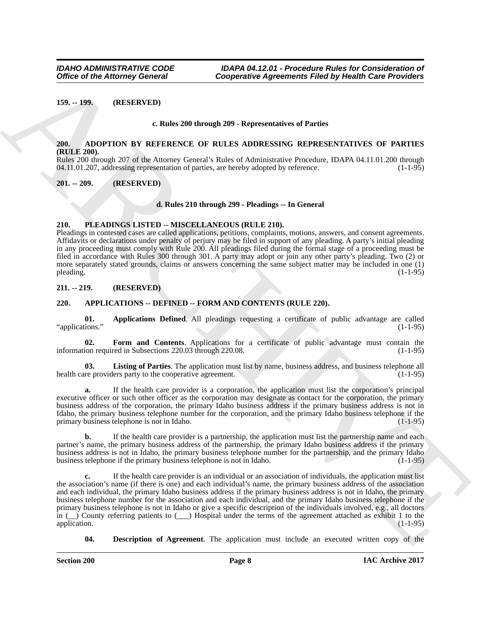<span id="page-7-0"></span>**159. -- 199. (RESERVED)**

#### **c. Rules 200 through 209 - Representatives of Parties**

#### <span id="page-7-6"></span><span id="page-7-1"></span>**200. ADOPTION BY REFERENCE OF RULES ADDRESSING REPRESENTATIVES OF PARTIES (RULE 200).**

Rules 200 through 207 of the Attorney General's Rules of Administrative Procedure, IDAPA 04.11.01.200 through 04.11.01.200 through 04.11.01.200 through 04.11.01.207, addressing representation of parties, are hereby adopted by reference.

#### <span id="page-7-2"></span>**201. -- 209. (RESERVED)**

#### **d. Rules 210 through 299 - Pleadings -- In General**

## <span id="page-7-11"></span><span id="page-7-3"></span>**210. PLEADINGS LISTED -- MISCELLANEOUS (RULE 210).**

Pleadings in contested cases are called applications, petitions, complaints, motions, answers, and consent agreements. Affidavits or declarations under penalty of perjury may be filed in support of any pleading. A party's initial pleading in any proceeding must comply with Rule 200. All pleadings filed during the formal stage of a proceeding must be filed in accordance with Rules 300 through 301. A party may adopt or join any other party's pleading. Two (2) or more separately stated grounds, claims or answers concerning the same subject matter may be included in one (1) pleading. (1-1-95) pleading. (1-1-95) (1-1-95)

<span id="page-7-4"></span>**211. -- 219. (RESERVED)**

### <span id="page-7-5"></span>**220. APPLICATIONS -- DEFINED -- FORM AND CONTENTS (RULE 220).**

<span id="page-7-7"></span>**01. Applications Defined**. All pleadings requesting a certificate of public advantage are called ions." (1-1-95) "applications."

<span id="page-7-9"></span>**02. Form and Contents**. Applications for a certificate of public advantage must contain the ion required in Subsections 220.03 through 220.08. (1-1-95) information required in Subsections 220.03 through 220.08.

<span id="page-7-10"></span>**03.** Listing of Parties. The application must list by name, business address, and business telephone all re providers party to the cooperative agreement. health care providers party to the cooperative agreement.

**a.** If the health care provider is a corporation, the application must list the corporation's principal executive officer or such other officer as the corporation may designate as contact for the corporation, the primary business address of the corporation, the primary Idaho business address if the primary business address is not in Idaho, the primary business telephone number for the corporation, and the primary Idaho business telephone if the primary business telephone is not in Idaho. (1-1-95)

**b.** If the health care provider is a partnership, the application must list the partnership name and each partner's name, the primary business address of the partnership, the primary Idaho business address if the primary business address is not in Idaho, the primary business telephone number for the partnership, and the primary Idaho business telephone if the primary business telephone is not in Idaho. (1-1-95)

Office of the Attorney General<br>
159, -199,<br>
(RESERVED)<br>
159, -199,<br>
(RESERVED)<br>
26. the band 200 nonegh 209-veloperative af Participa in Table 10 and 200 nonegh 200<br>
26. the 200 nonegh 200 states and investigate Participa **c.** If the health care provider is an individual or an association of individuals, the application must list the association's name (if there is one) and each individual's name, the primary business address of the association and each individual, the primary Idaho business address if the primary business address is not in Idaho, the primary business telephone number for the association and each individual, and the primary Idaho business telephone if the primary business telephone is not in Idaho or give a specific description of the individuals involved, e.g., all doctors in (\_\_) County referring patients to (\_\_\_) Hospital under the terms of the agreement attached as exhibit 1 to the application. (1-1-95) (and the contract of the contract of the contract of the contract of the contract of the contract of the contract of the contract of the contract of the contract of the contract of the contract of the

<span id="page-7-8"></span>**04. Description of Agreement**. The application must include an executed written copy of the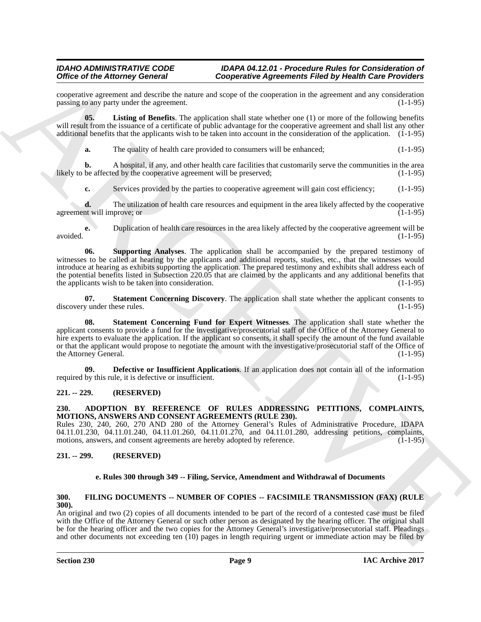cooperative agreement and describe the nature and scope of the cooperation in the agreement and any consideration passing to any party under the agreement.

**05. Listing of Benefits**. The application shall state whether one (1) or more of the following benefits will result from the issuance of a certificate of public advantage for the cooperative agreement and shall list any other additional benefits that the applicants wish to be taken into account in the consideration of the application. (1-1-95)

<span id="page-8-6"></span>**a.** The quality of health care provided to consumers will be enhanced; (1-1-95)

**b.** A hospital, if any, and other health care facilities that customarily serve the communities in the area be affected by the cooperative agreement will be preserved; (1-1-95) likely to be affected by the cooperative agreement will be preserved;

**c.** Services provided by the parties to cooperative agreement will gain cost efficiency; (1-1-95)

**d.** The utilization of health care resources and equipment in the area likely affected by the cooperative in will improve; or agreement will improve; or

**e.** Duplication of health care resources in the area likely affected by the cooperative agreement will be avoided. (1-1-95)

<span id="page-8-9"></span>**06. Supporting Analyses**. The application shall be accompanied by the prepared testimony of witnesses to be called at hearing by the applicants and additional reports, studies, etc., that the witnesses would introduce at hearing as exhibits supporting the application. The prepared testimony and exhibits shall address each of the potential benefits listed in Subsection 220.05 that are claimed by the applicants and any additional benefits that the applicants wish to be taken into consideration. (1-1-95)

<span id="page-8-8"></span><span id="page-8-7"></span>**07. Statement Concerning Discovery**. The application shall state whether the applicant consents to discovery under these rules. (1-1-95)

Oriented in Alternative Concerning Towards and the system in the system of the system of the system of the system of the system of the system of the system of the system of the system of the system of the system of the sy **08. Statement Concerning Fund for Expert Witnesses**. The application shall state whether the applicant consents to provide a fund for the investigative/prosecutorial staff of the Office of the Attorney General to hire experts to evaluate the application. If the applicant so consents, it shall specify the amount of the fund available or that the applicant would propose to negotiate the amount with the investigative/prosecutorial staff of the Office of the Attorney General. (1-1-95)

<span id="page-8-5"></span>**09. Defective or Insufficient Applications**. If an application does not contain all of the information required by this rule, it is defective or insufficient. (1-1-95)

## <span id="page-8-0"></span>**221. -- 229. (RESERVED)**

## <span id="page-8-4"></span><span id="page-8-1"></span>**230. ADOPTION BY REFERENCE OF RULES ADDRESSING PETITIONS, COMPLAINTS, MOTIONS, ANSWERS AND CONSENT AGREEMENTS (RULE 230).**

Rules 230, 240, 260, 270 AND 280 of the Attorney General's Rules of Administrative Procedure, IDAPA 04.11.01.230, 04.11.01.240, 04.11.01.260, 04.11.01.270, and 04.11.01.280, addressing petitions, complaints, motions, answers, and consent agreements are hereby adopted by reference. (1-1-95) motions, answers, and consent agreements are hereby adopted by reference.

## <span id="page-8-2"></span>**231. -- 299. (RESERVED)**

#### <span id="page-8-10"></span>**e. Rules 300 through 349 -- Filing, Service, Amendment and Withdrawal of Documents**

## <span id="page-8-3"></span>**300. FILING DOCUMENTS -- NUMBER OF COPIES -- FACSIMILE TRANSMISSION (FAX) (RULE 300).**

An original and two (2) copies of all documents intended to be part of the record of a contested case must be filed with the Office of the Attorney General or such other person as designated by the hearing officer. The original shall be for the hearing officer and the two copies for the Attorney General's investigative/prosecutorial staff. Pleadings and other documents not exceeding ten (10) pages in length requiring urgent or immediate action may be filed by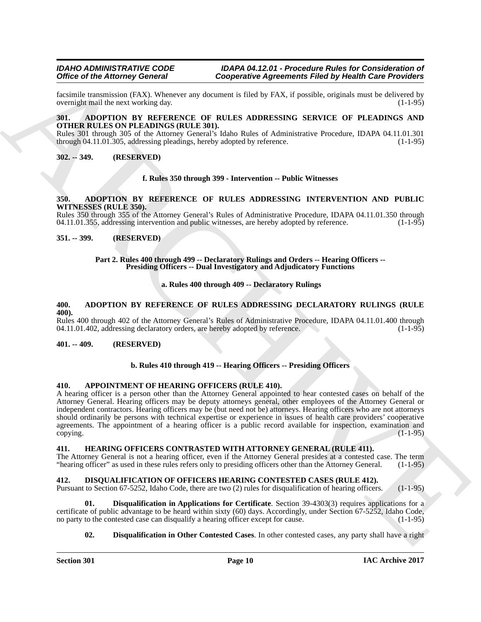facsimile transmission (FAX). Whenever any document is filed by FAX, if possible, originals must be delivered by overnight mail the next working day.

#### <span id="page-9-11"></span><span id="page-9-0"></span>**301. ADOPTION BY REFERENCE OF RULES ADDRESSING SERVICE OF PLEADINGS AND OTHER RULES ON PLEADINGS (RULE 301).**

Rules 301 through 305 of the Attorney General's Idaho Rules of Administrative Procedure, IDAPA 04.11.01.301 through 04.11.01.305, addressing pleadings, hereby adopted by reference. (1-1-95) through  $04.11.01.305$ , addressing pleadings, hereby adopted by reference.

## <span id="page-9-1"></span>**302. -- 349. (RESERVED)**

#### **f. Rules 350 through 399 - Intervention -- Public Witnesses**

#### <span id="page-9-10"></span><span id="page-9-2"></span>**350. ADOPTION BY REFERENCE OF RULES ADDRESSING INTERVENTION AND PUBLIC WITNESSES (RULE 350).**

Rules 350 through 355 of the Attorney General's Rules of Administrative Procedure, IDAPA 04.11.01.350 through 04.11.01.355, addressing intervention and public witnesses, are hereby adopted by reference. (1-1-95)

### <span id="page-9-3"></span>**351. -- 399. (RESERVED)**

#### Part 2. Rules 400 through 499 -- Declaratory Rulings and Orders -- Hearing Officers --**Presiding Officers -- Dual Investigatory and Adjudicatory Functions**

## **a. Rules 400 through 409 -- Declaratory Rulings**

#### <span id="page-9-9"></span><span id="page-9-4"></span>**400. ADOPTION BY REFERENCE OF RULES ADDRESSING DECLARATORY RULINGS (RULE 400).**

Rules 400 through 402 of the Attorney General's Rules of Administrative Procedure, IDAPA 04.11.01.400 through 04.11.01.402, addressing declaratory orders, are hereby adopted by reference. (1-1-95) 04.11.01.402, addressing declaratory orders, are hereby adopted by reference.

#### <span id="page-9-5"></span>**401. -- 409. (RESERVED)**

#### **b. Rules 410 through 419 -- Hearing Officers -- Presiding Officers**

### <span id="page-9-12"></span><span id="page-9-6"></span>**410. APPOINTMENT OF HEARING OFFICERS (RULE 410).**

Office of the ARCHIVES (Specialize Research Rich by Highlin Concerns)<br>
Incidential functions (EAS), Whenever and Oceannosis European Filicid by Highlin Concerns)<br>
Unitary Research Concerns (Fig. 1997), Whenever and Concer A hearing officer is a person other than the Attorney General appointed to hear contested cases on behalf of the Attorney General. Hearing officers may be deputy attorneys general, other employees of the Attorney General or independent contractors. Hearing officers may be (but need not be) attorneys. Hearing officers who are not attorneys should ordinarily be persons with technical expertise or experience in issues of health care providers' cooperative agreements. The appointment of a hearing officer is a public record available for inspection, examination and copying. (1-1-95)

## <span id="page-9-15"></span><span id="page-9-7"></span>**411. HEARING OFFICERS CONTRASTED WITH ATTORNEY GENERAL (RULE 411).**

The Attorney General is not a hearing officer, even if the Attorney General presides at a contested case. The term<br>"hearing officer" as used in these rules refers only to presiding officers other than the Attorney General. "hearing officer" as used in these rules refers only to presiding officers other than the Attorney General.

## <span id="page-9-8"></span>**412. DISQUALIFICATION OF OFFICERS HEARING CONTESTED CASES (RULE 412).**

Pursuant to Section 67-5252, Idaho Code, there are two (2) rules for disqualification of hearing officers. (1-1-95)

**01. Disqualification in Applications for Certificate**. Section 39-4303(3) requires applications for a certificate of public advantage to be heard within sixty (60) days. Accordingly, under Section 67-5252, Idaho Code, no party to the contested case can disqualify a hearing officer except for cause. (1-1-95)

## <span id="page-9-14"></span><span id="page-9-13"></span>**02. Disqualification in Other Contested Cases**. In other contested cases, any party shall have a right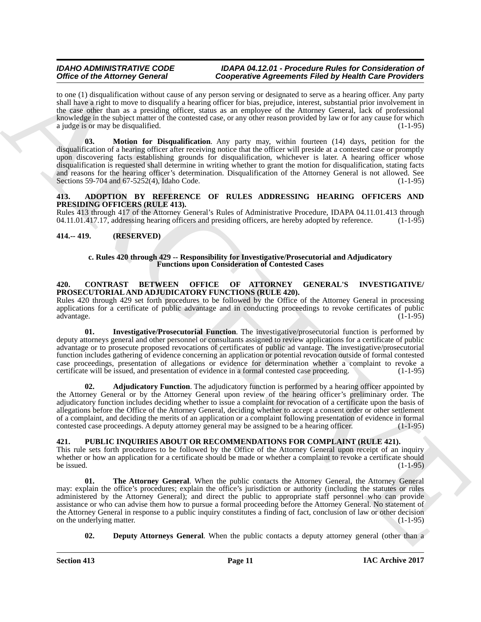<span id="page-10-7"></span>to one (1) disqualification without cause of any person serving or designated to serve as a hearing officer. Any party shall have a right to move to disqualify a hearing officer for bias, prejudice, interest, substantial prior involvement in the case other than as a presiding officer, status as an employee of the Attorney General, lack of professional knowledge in the subject matter of the contested case, or any other reason provided by law or for any cause for which a judge is or may be disqualified.

Office of the Altimote General control is presented Figure and the by-britan Euckle of the Branchive Control in the state of the Altimote Control in the state of the Altimote Control in the state of the Altimote Control i **03. Motion for Disqualification**. Any party may, within fourteen (14) days, petition for the disqualification of a hearing officer after receiving notice that the officer will preside at a contested case or promptly upon discovering facts establishing grounds for disqualification, whichever is later. A hearing officer whose disqualification is requested shall determine in writing whether to grant the motion for disqualification, stating facts and reasons for the hearing officer's determination. Disqualification of the Attorney General is not allowed. See Sections 59-704 and 67-5252(4), Idaho Code. (1-1-95)

## <span id="page-10-4"></span><span id="page-10-0"></span>**413. ADOPTION BY REFERENCE OF RULES ADDRESSING HEARING OFFICERS AND PRESIDING OFFICERS (RULE 413).**

Rules 413 through 417 of the Attorney General's Rules of Administrative Procedure, IDAPA 04.11.01.413 through 04.11.01.417.17, addressing hearing officers and presiding officers, are hereby adopted by reference. (1-1-95) 04.11.01.417.17, addressing hearing officers and presiding officers, are hereby adopted by reference.

## <span id="page-10-1"></span>**414.-- 419. (RESERVED)**

#### **c. Rules 420 through 429 -- Responsibility for Investigative/Prosecutorial and Adjudicatory Functions upon Consideration of Contested Cases**

#### <span id="page-10-2"></span>**420. CONTRAST BETWEEN OFFICE OF ATTORNEY GENERAL'S INVESTIGATIVE/ PROSECUTORIAL AND ADJUDICATORY FUNCTIONS (RULE 420).**

Rules 420 through 429 set forth procedures to be followed by the Office of the Attorney General in processing applications for a certificate of public advantage and in conducting proceedings to revoke certificates of public advantage. (1-1-95)

<span id="page-10-6"></span>**01. Investigative/Prosecutorial Function**. The investigative/prosecutorial function is performed by deputy attorneys general and other personnel or consultants assigned to review applications for a certificate of public advantage or to prosecute proposed revocations of certificates of public ad vantage. The investigative/prosecutorial function includes gathering of evidence concerning an application or potential revocation outside of formal contested case proceedings, presentation of allegations or evidence for determination whether a complaint to revoke a certificate will be issued, and presentation of evidence in a formal contested case proceeding. (1-1-95) certificate will be issued, and presentation of evidence in a formal contested case proceeding.

<span id="page-10-5"></span>**02. Adjudicatory Function**. The adjudicatory function is performed by a hearing officer appointed by the Attorney General or by the Attorney General upon review of the hearing officer's preliminary order. The adjudicatory function includes deciding whether to issue a complaint for revocation of a certificate upon the basis of allegations before the Office of the Attorney General, deciding whether to accept a consent order or other settlement of a complaint, and deciding the merits of an application or a complaint following presentation of evidence in formal contested case proceedings. A deputy attorney general may be assigned to be a hearing officer. (1-1-95)

## <span id="page-10-3"></span>**421. PUBLIC INQUIRIES ABOUT OR RECOMMENDATIONS FOR COMPLAINT (RULE 421).**

This rule sets forth procedures to be followed by the Office of the Attorney General upon receipt of an inquiry whether or how an application for a certificate should be made or whether a complaint to revoke a certificate should<br>(1-1-95) be issued.  $(1-1-95)$ 

<span id="page-10-9"></span>**The Attorney General.** When the public contacts the Attorney General, the Attorney General may: explain the office's procedures; explain the office's jurisdiction or authority (including the statutes or rules administered by the Attorney General); and direct the public to appropriate staff personnel who can provide assistance or who can advise them how to pursue a formal proceeding before the Attorney General. No statement of the Attorney General in response to a public inquiry constitutes a finding of fact, conclusion of law or other decision on the underlying matter. (1-1-95)

<span id="page-10-8"></span>**02. Deputy Attorneys General**. When the public contacts a deputy attorney general (other than a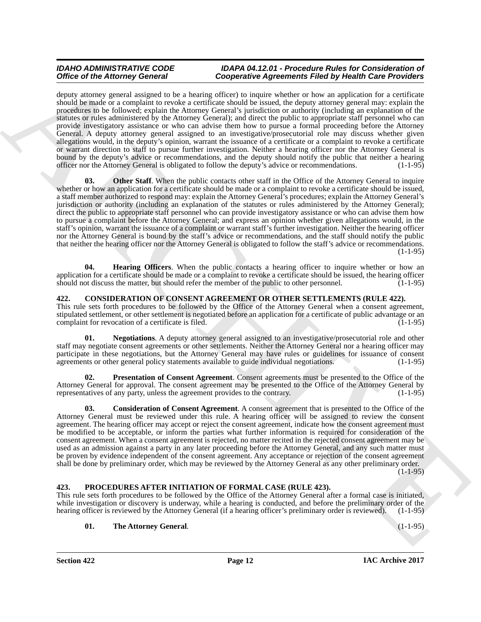Office of the Alternative Connective Connective Approximate Approximation Finite by the MD Connective Connective Approximation Connective Connective Connective Connective Connective Connective Connective Connective Connec deputy attorney general assigned to be a hearing officer) to inquire whether or how an application for a certificate should be made or a complaint to revoke a certificate should be issued, the deputy attorney general may: explain the procedures to be followed; explain the Attorney General's jurisdiction or authority (including an explanation of the statutes or rules administered by the Attorney General); and direct the public to appropriate staff personnel who can provide investigatory assistance or who can advise them how to pursue a formal proceeding before the Attorney General. A deputy attorney general assigned to an investigative/prosecutorial role may discuss whether given allegations would, in the deputy's opinion, warrant the issuance of a certificate or a complaint to revoke a certificate or warrant direction to staff to pursue further investigation. Neither a hearing officer nor the Attorney General is bound by the deputy's advice or recommendations, and the deputy should notify the public that neither a hearing officer nor the Attorney General is obligated to follow the deputy's advice or recommendations. (1-1-95)

<span id="page-11-7"></span>**Other Staff**. When the public contacts other staff in the Office of the Attorney General to inquire whether or how an application for a certificate should be made or a complaint to revoke a certificate should be issued, a staff member authorized to respond may: explain the Attorney General's procedures; explain the Attorney General's jurisdiction or authority (including an explanation of the statutes or rules administered by the Attorney General); direct the public to appropriate staff personnel who can provide investigatory assistance or who can advise them how to pursue a complaint before the Attorney General; and express an opinion whether given allegations would, in the staff's opinion, warrant the issuance of a complaint or warrant staff's further investigation. Neither the hearing officer nor the Attorney General is bound by the staff's advice or recommendations, and the staff should notify the public that neither the hearing officer nor the Attorney General is obligated to follow the staff's advice or recommendations.  $(1-1-95)$ 

<span id="page-11-6"></span>**04. Hearing Officers**. When the public contacts a hearing officer to inquire whether or how an application for a certificate should be made or a complaint to revoke a certificate should be issued, the hearing officer should not discuss the matter, but should refer the member of the public to other personnel. (1-1-95)

## <span id="page-11-0"></span>**422. CONSIDERATION OF CONSENT AGREEMENT OR OTHER SETTLEMENTS (RULE 422).**

This rule sets forth procedures to be followed by the Office of the Attorney General when a consent agreement, stipulated settlement, or other settlement is negotiated before an application for a certificate of public advantage or an complaint for revocation of a certificate is filed. (1-1-95) complaint for revocation of a certificate is filed.

<span id="page-11-3"></span>**01. Negotiations**. A deputy attorney general assigned to an investigative/prosecutorial role and other staff may negotiate consent agreements or other settlements. Neither the Attorney General nor a hearing officer may participate in these negotiations, but the Attorney General may have rules or guidelines for issuance of consent agreements or other general policy statements available to guide individual negotiations. (1-1-95) agreements or other general policy statements available to guide individual negotiations.

<span id="page-11-4"></span>**02. Presentation of Consent Agreement**. Consent agreements must be presented to the Office of the Attorney General for approval. The consent agreement may be presented to the Office of the Attorney General by representatives of any party, unless the agreement provides to the contrary. (1-1-95)

<span id="page-11-2"></span>**03. Consideration of Consent Agreement**. A consent agreement that is presented to the Office of the Attorney General must be reviewed under this rule. A hearing officer will be assigned to review the consent agreement. The hearing officer may accept or reject the consent agreement, indicate how the consent agreement must be modified to be acceptable, or inform the parties what further information is required for consideration of the consent agreement. When a consent agreement is rejected, no matter recited in the rejected consent agreement may be used as an admission against a party in any later proceeding before the Attorney General, and any such matter must be proven by evidence independent of the consent agreement. Any acceptance or rejection of the consent agreement shall be done by preliminary order, which may be reviewed by the Attorney General as any other preliminary order.  $(1-1-95)$ 

## <span id="page-11-1"></span>**423. PROCEDURES AFTER INITIATION OF FORMAL CASE (RULE 423).**

This rule sets forth procedures to be followed by the Office of the Attorney General after a formal case is initiated, while investigation or discovery is underway, while a hearing is conducted, and before the preliminary order of the hearing officer is reviewed by the Attorney General (if a hearing officer's preliminary order is reviewed). (1-1-95)

## <span id="page-11-5"></span>**01. The Attorney General**. (1-1-95)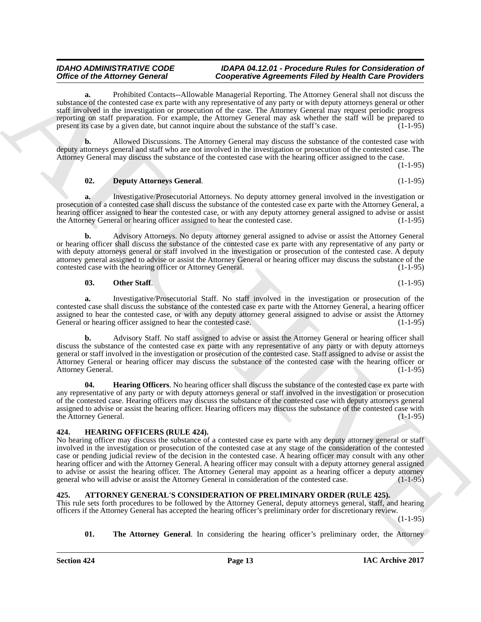**a.** Prohibited Contacts--Allowable Managerial Reporting. The Attorney General shall not discuss the substance of the contested case ex parte with any representative of any party or with deputy attorneys general or other staff involved in the investigation or prosecution of the case. The Attorney General may request periodic progress reporting on staff preparation. For example, the Attorney General may ask whether the staff will be prepared to present its case by a given date, but cannot inquire about the substance of the staff's case. (1-1-95)

**b.** Allowed Discussions. The Attorney General may discuss the substance of the contested case with deputy attorneys general and staff who are not involved in the investigation or prosecution of the contested case. The Attorney General may discuss the substance of the contested case with the hearing officer assigned to the case.

(1-1-95)

### <span id="page-12-5"></span>**02. Deputy Attorneys General**. (1-1-95)

**a.** Investigative/Prosecutorial Attorneys. No deputy attorney general involved in the investigation or prosecution of a contested case shall discuss the substance of the contested case ex parte with the Attorney General, a hearing officer assigned to hear the contested case, or with any deputy attorney general assigned to advise or assist<br>the Attorney General or hearing officer assigned to hear the contested case. (1-1-95) the Attorney General or hearing officer assigned to hear the contested case.

**b.** Advisory Attorneys. No deputy attorney general assigned to advise or assist the Attorney General or hearing officer shall discuss the substance of the contested case ex parte with any representative of any party or with deputy attorneys general or staff involved in the investigation or prosecution of the contested case. A deputy attorney general assigned to advise or assist the Attorney General or hearing officer may discuss the substance of the contested case with the hearing officer or Attorney General.

#### <span id="page-12-7"></span>**03.** Other Staff. (1-1-95)

**a.** Investigative/Prosecutorial Staff. No staff involved in the investigation or prosecution of the contested case shall discuss the substance of the contested case ex parte with the Attorney General, a hearing officer assigned to hear the contested case, or with any deputy attorney general assigned to advise or assist the Attorney<br>General or hearing officer assigned to hear the contested case. (1-1-95) General or hearing officer assigned to hear the contested case.

**b.** Advisory Staff. No staff assigned to advise or assist the Attorney General or hearing officer shall discuss the substance of the contested case ex parte with any representative of any party or with deputy attorneys general or staff involved in the investigation or prosecution of the contested case. Staff assigned to advise or assist the Attorney General or hearing officer may discuss the substance of the contested case with the hearing officer or Attorney General. (1-1-95)

<span id="page-12-6"></span>**04. Hearing Officers**. No hearing officer shall discuss the substance of the contested case ex parte with any representative of any party or with deputy attorneys general or staff involved in the investigation or prosecution of the contested case. Hearing officers may discuss the substance of the contested case with deputy attorneys general assigned to advise or assist the hearing officer. Hearing officers may discuss the substance of the contested case with the Attorney General. (1-1-95)

## <span id="page-12-4"></span><span id="page-12-0"></span>**424. HEARING OFFICERS (RULE 424).**

Office of the Alberta) Connective Manuscript Connective Agreements Finite by the Manuscript Connective Agreements Finite University Connective Agreements Connective Agreements Finite University Connective Manuscript Conne No hearing officer may discuss the substance of a contested case ex parte with any deputy attorney general or staff involved in the investigation or prosecution of the contested case at any stage of the consideration of the contested case or pending judicial review of the decision in the contested case. A hearing officer may consult with any other hearing officer and with the Attorney General. A hearing officer may consult with a deputy attorney general assigned to advise or assist the hearing officer. The Attorney General may appoint as a hearing officer a deputy attorney<br>general who will advise or assist the Attorney General in consideration of the contested case. (1-1-95) general who will advise or assist the Attorney General in consideration of the contested case.

## <span id="page-12-2"></span><span id="page-12-1"></span>**425. ATTORNEY GENERAL'S CONSIDERATION OF PRELIMINARY ORDER (RULE 425).**

This rule sets forth procedures to be followed by the Attorney General, deputy attorneys general, staff, and hearing officers if the Attorney General has accepted the hearing officer's preliminary order for discretionary review.

 $(1-1-95)$ 

<span id="page-12-3"></span>**01. The Attorney General**. In considering the hearing officer's preliminary order, the Attorney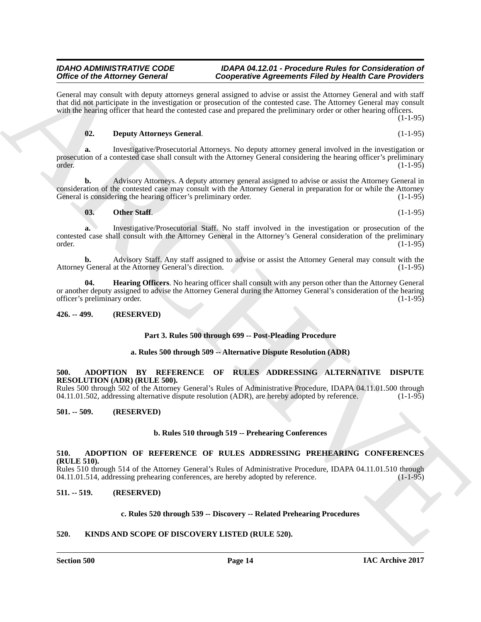#### **Section 500 Page 14**

### *IDAHO ADMINISTRATIVE CODE IDAPA 04.12.01 - Procedure Rules for Consideration of Office of the Attorney General Cooperative Agreements Filed by Health Care Providers*

Office of the Alternative Control is the species of the species Reference Control in the Lydian Control in the species of the Control in the Control in the Control in the Control in the Control in the Control in the Contr General may consult with deputy attorneys general assigned to advise or assist the Attorney General and with staff that did not participate in the investigation or prosecution of the contested case. The Attorney General may consult with the hearing officer that heard the contested case and prepared the preliminary order or other hearing officers.  $(1 - 1 - 95)$ 

## <span id="page-13-8"></span>**02. Deputy Attorneys General**. (1-1-95)

**a.** Investigative/Prosecutorial Attorneys. No deputy attorney general involved in the investigation or prosecution of a contested case shall consult with the Attorney General considering the hearing officer's preliminary order. (1-1-95)

**b.** Advisory Attorneys. A deputy attorney general assigned to advise or assist the Attorney General in consideration of the contested case may consult with the Attorney General in preparation for or while the Attorney General is considering the hearing officer's preliminary order. (1-1-95)

## <span id="page-13-10"></span>**03.** Other Staff. (1-1-95)

**a.** Investigative/Prosecutorial Staff. No staff involved in the investigation or prosecution of the contested case shall consult with the Attorney General in the Attorney's General consideration of the preliminary  $\sigma$ order. (1-1-95)

**b.** Advisory Staff. Any staff assigned to advise or assist the Attorney General may consult with the General at the Attorney General's direction. (1-1-95) Attorney General at the Attorney General's direction.

<span id="page-13-9"></span>**04. Hearing Officers**. No hearing officer shall consult with any person other than the Attorney General or another deputy assigned to advise the Attorney General during the Attorney General's consideration of the hearing officer's preliminary order. (1-1-95) officer's preliminary order.

## <span id="page-13-0"></span>**426. -- 499. (RESERVED)**

## **Part 3. Rules 500 through 699 -- Post-Pleading Procedure**

## **a. Rules 500 through 509 -- Alternative Dispute Resolution (ADR)**

## <span id="page-13-6"></span><span id="page-13-1"></span>**500. ADOPTION BY REFERENCE OF RULES ADDRESSING ALTERNATIVE DISPUTE RESOLUTION (ADR) (RULE 500).**

Rules 500 through 502 of the Attorney General's Rules of Administrative Procedure, IDAPA 04.11.01.500 through 04.11.01.502, addressing alternative dispute resolution (ADR), are hereby adopted by reference. (1-1-95) 04.11.01.502, addressing alternative dispute resolution (ADR), are hereby adopted by reference.

## <span id="page-13-2"></span>**501. -- 509. (RESERVED)**

## **b. Rules 510 through 519 -- Prehearing Conferences**

#### <span id="page-13-7"></span><span id="page-13-3"></span>**510. ADOPTION OF REFERENCE OF RULES ADDRESSING PREHEARING CONFERENCES (RULE 510).**

Rules 510 through 514 of the Attorney General's Rules of Administrative Procedure, IDAPA 04.11.01.510 through 04.11.01.514, addressing prehearing conferences, are hereby adopted by reference. (1-1-95)

## <span id="page-13-4"></span>**511. -- 519. (RESERVED)**

## **c. Rules 520 through 539 -- Discovery -- Related Prehearing Procedures**

## <span id="page-13-5"></span>**520. KINDS AND SCOPE OF DISCOVERY LISTED (RULE 520).**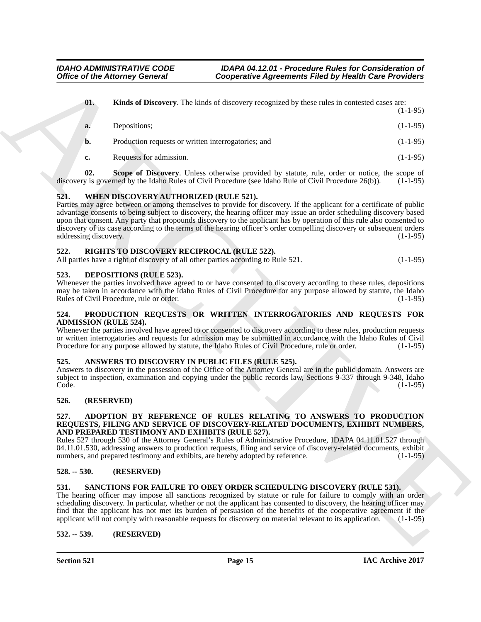<span id="page-14-13"></span>

|                                      | <b>Office of the Attorney General</b>                                      | <b>Cooperative Agreements Filed by Health Care Providers</b>                                                                                                                                                                                                                                                                                                                                                                                                                                   |            |
|--------------------------------------|----------------------------------------------------------------------------|------------------------------------------------------------------------------------------------------------------------------------------------------------------------------------------------------------------------------------------------------------------------------------------------------------------------------------------------------------------------------------------------------------------------------------------------------------------------------------------------|------------|
| 01.                                  |                                                                            | Kinds of Discovery. The kinds of discovery recognized by these rules in contested cases are:                                                                                                                                                                                                                                                                                                                                                                                                   | $(1-1-95)$ |
| a.                                   | Depositions;                                                               |                                                                                                                                                                                                                                                                                                                                                                                                                                                                                                | $(1-1-95)$ |
| b.                                   | Production requests or written interrogatories; and                        |                                                                                                                                                                                                                                                                                                                                                                                                                                                                                                | $(1-1-95)$ |
| c.                                   | Requests for admission.                                                    |                                                                                                                                                                                                                                                                                                                                                                                                                                                                                                | $(1-1-95)$ |
| 02.                                  |                                                                            | Scope of Discovery. Unless otherwise provided by statute, rule, order or notice, the scope of<br>discovery is governed by the Idaho Rules of Civil Procedure (see Idaho Rule of Civil Procedure 26(b)).                                                                                                                                                                                                                                                                                        | $(1-1-95)$ |
| 521.<br>addressing discovery.        | WHEN DISCOVERY AUTHORIZED (RULE 521).                                      | Parties may agree between or among themselves to provide for discovery. If the applicant for a certificate of public<br>advantage consents to being subject to discovery, the hearing officer may issue an order scheduling discovery based<br>upon that consent. Any party that propounds discovery to the applicant has by operation of this rule also consented to<br>discovery of its case according to the terms of the hearing officer's order compelling discovery or subsequent orders | $(1-1-95)$ |
| 522.                                 | RIGHTS TO DISCOVERY RECIPROCAL (RULE 522).                                 | All parties have a right of discovery of all other parties according to Rule 521.                                                                                                                                                                                                                                                                                                                                                                                                              | $(1-1-95)$ |
| 523.                                 | <b>DEPOSITIONS (RULE 523).</b><br>Rules of Civil Procedure, rule or order. | Whenever the parties involved have agreed to or have consented to discovery according to these rules, depositions<br>may be taken in accordance with the Idaho Rules of Civil Procedure for any purpose allowed by statute, the Idaho                                                                                                                                                                                                                                                          | $(1-1-95)$ |
| 524.<br><b>ADMISSION (RULE 524).</b> |                                                                            | PRODUCTION REQUESTS OR WRITTEN INTERROGATORIES AND REQUESTS FOR<br>Whenever the parties involved have agreed to or consented to discovery according to these rules, production requests<br>or written interrogatories and requests for admission may be submitted in accordance with the Idaho Rules of Civil<br>Procedure for any purpose allowed by statute, the Idaho Rules of Civil Procedure, rule or order.                                                                              | $(1-1-95)$ |
| 525.<br>Code.                        |                                                                            | ANSWERS TO DISCOVERY IN PUBLIC FILES (RULE 525).<br>Answers to discovery in the possession of the Office of the Attorney General are in the public domain. Answers are<br>subject to inspection, examination and copying under the public records law, Sections 9-337 through 9-348, Idaho                                                                                                                                                                                                     | $(1-1-95)$ |
| 526.                                 | (RESERVED)                                                                 |                                                                                                                                                                                                                                                                                                                                                                                                                                                                                                |            |
| 527.                                 | AND PREPARED TESTIMONY AND EXHIBITS (RULE 527).                            | ADOPTION BY REFERENCE OF RULES RELATING TO ANSWERS TO PRODUCTION<br>REQUESTS, FILING AND SERVICE OF DISCOVERY-RELATED DOCUMENTS, EXHIBIT NUMBERS,<br>Rules 527 through 530 of the Attorney General's Rules of Administrative Procedure, IDAPA 04.11.01.527 through<br>04.11.01.530, addressing answers to production requests, filing and service of discovery-related documents, exhibit<br>numbers, and prepared testimony and exhibits, are hereby adopted by reference.                    | $(1-1-95)$ |
| $528. - 530.$                        | (RESERVED)                                                                 |                                                                                                                                                                                                                                                                                                                                                                                                                                                                                                |            |
| 531.                                 |                                                                            | <b>SANCTIONS FOR FAILURE TO OBEY ORDER SCHEDULING DISCOVERY (RULE 531).</b><br>The hearing officer may impose all sanctions recognized by statute or rule for failure to comply with an order<br>scheduling discovery. In particular, whether or not the applicant has consented to discovery, the hearing officer may<br>find that the applicant has not met its burden of persuasion of the benefits of the cooperative agreement if the                                                     |            |
|                                      |                                                                            | applicant will not comply with reasonable requests for discovery on material relevant to its application.                                                                                                                                                                                                                                                                                                                                                                                      | $(1-1-95)$ |

## <span id="page-14-18"></span><span id="page-14-14"></span><span id="page-14-0"></span>**521. WHEN DISCOVERY AUTHORIZED (RULE 521).**

## <span id="page-14-16"></span><span id="page-14-1"></span>**522. RIGHTS TO DISCOVERY RECIPROCAL (RULE 522).**

## <span id="page-14-12"></span><span id="page-14-2"></span>**523. DEPOSITIONS (RULE 523).**

#### <span id="page-14-15"></span><span id="page-14-3"></span>**524. PRODUCTION REQUESTS OR WRITTEN INTERROGATORIES AND REQUESTS FOR ADMISSION (RULE 524).**

#### <span id="page-14-11"></span><span id="page-14-4"></span>**525. ANSWERS TO DISCOVERY IN PUBLIC FILES (RULE 525).**

## <span id="page-14-5"></span>**526. (RESERVED)**

#### <span id="page-14-10"></span><span id="page-14-6"></span>**527. ADOPTION BY REFERENCE OF RULES RELATING TO ANSWERS TO PRODUCTION REQUESTS, FILING AND SERVICE OF DISCOVERY-RELATED DOCUMENTS, EXHIBIT NUMBERS, AND PREPARED TESTIMONY AND EXHIBITS (RULE 527).**

## <span id="page-14-7"></span>**528. -- 530. (RESERVED)**

## <span id="page-14-17"></span><span id="page-14-8"></span>**531. SANCTIONS FOR FAILURE TO OBEY ORDER SCHEDULING DISCOVERY (RULE 531).**

#### <span id="page-14-9"></span>**532. -- 539. (RESERVED)**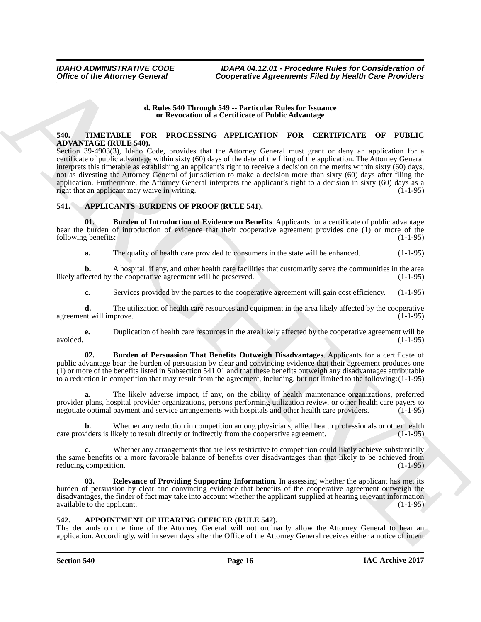### **d. Rules 540 Through 549 -- Particular Rules for Issuance or Revocation of a Certificate of Public Advantage**

## <span id="page-15-7"></span><span id="page-15-0"></span>**540. TIMETABLE FOR PROCESSING APPLICATION FOR CERTIFICATE OF PUBLIC ADVANTAGE (RULE 540).**

Office of the Attorney General Conservative Agreements Filed by Health Care Providers<br>
4. Rate state and the SHETICATION TOR CERTIFICATE OF PEOPLE<br>
STREET IN THE SHETICATE OF TREET IS a state of the SHETICATE OF TREET IS Section 39-4903(3), Idaho Code, provides that the Attorney General must grant or deny an application for a certificate of public advantage within sixty (60) days of the date of the filing of the application. The Attorney General interprets this timetable as establishing an applicant's right to receive a decision on the merits within sixty (60) days, not as divesting the Attorney General of jurisdiction to make a decision more than sixty (60) days after filing the application. Furthermore, the Attorney General interprets the applicant's right to a decision in sixty (60) days as a right that an applicant may waive in writing. right that an applicant may waive in writing.

## <span id="page-15-1"></span>**541. APPLICANTS' BURDENS OF PROOF (RULE 541).**

**01. Burden of Introduction of Evidence on Benefits**. Applicants for a certificate of public advantage bear the burden of introduction of evidence that their cooperative agreement provides one  $(1)$  or more of the following benefits:  $(1-1-95)$ following benefits:

<span id="page-15-3"></span>**a.** The quality of health care provided to consumers in the state will be enhanced. (1-1-95)

**b.** A hospital, if any, and other health care facilities that customarily serve the communities in the area fected by the cooperative agreement will be preserved. (1-1-95) likely affected by the cooperative agreement will be preserved.

**c.** Services provided by the parties to the cooperative agreement will gain cost efficiency. (1-1-95)

**d.** The utilization of health care resources and equipment in the area likely affected by the cooperative nt will improve. (1-1-95) agreement will improve.

**e.** Duplication of health care resources in the area likely affected by the cooperative agreement will be avoided. (1-1-95)

<span id="page-15-4"></span>**02. Burden of Persuasion That Benefits Outweigh Disadvantages**. Applicants for a certificate of public advantage bear the burden of persuasion by clear and convincing evidence that their agreement produces one (1) or more of the benefits listed in Subsection 541.01 and that these benefits outweigh any disadvantages attributable to a reduction in competition that may result from the agreement, including, but not limited to the following:(1-1-95)

**a.** The likely adverse impact, if any, on the ability of health maintenance organizations, preferred provider plans, hospital provider organizations, persons performing utilization review, or other health care payers to negotiate optimal payment and service arrangements with hospitals and other health care providers. (1-1 negotiate optimal payment and service arrangements with hospitals and other health care providers.

Whether any reduction in competition among physicians, allied health professionals or other health ikely to result directly or indirectly from the cooperative agreement. (1-1-95) care providers is likely to result directly or indirectly from the cooperative agreement.

**c.** Whether any arrangements that are less restrictive to competition could likely achieve substantially the same benefits or a more favorable balance of benefits over disadvantages than that likely to be achieved from reducing competition. (1-1-95) reducing competition.

<span id="page-15-5"></span>**Relevance of Providing Supporting Information**. In assessing whether the applicant has met its burden of persuasion by clear and convincing evidence that benefits of the cooperative agreement outweigh the disadvantages, the finder of fact may take into account whether the applicant supplied at hearing relevant information available to the applicant. (1-1-95) available to the applicant.

### <span id="page-15-6"></span><span id="page-15-2"></span>**542. APPOINTMENT OF HEARING OFFICER (RULE 542).**

The demands on the time of the Attorney General will not ordinarily allow the Attorney General to hear an application. Accordingly, within seven days after the Office of the Attorney General receives either a notice of intent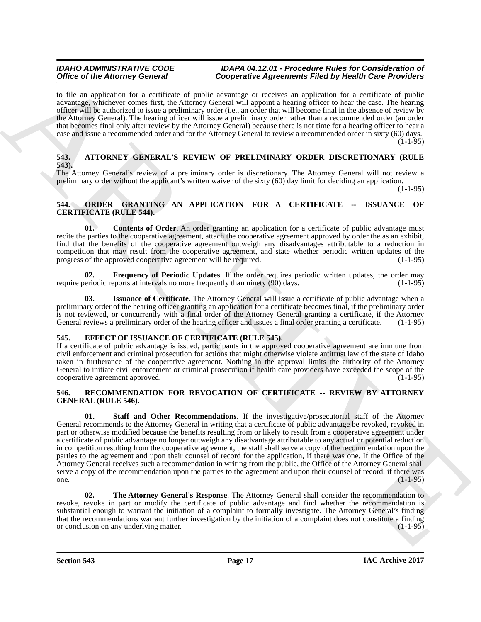to file an application for a certificate of public advantage or receives an application for a certificate of public advantage, whichever comes first, the Attorney General will appoint a hearing officer to hear the case. The hearing officer will be authorized to issue a preliminary order (i.e., an order that will become final in the absence of review by the Attorney General). The hearing officer will issue a preliminary order rather than a recommended order (an order that becomes final only after review by the Attorney General) because there is not time for a hearing officer to hear a case and issue a recommended order and for the Attorney General to review a recommended order in sixty (60) days.  $(1-1-95)$ 

## <span id="page-16-4"></span><span id="page-16-0"></span>**543. ATTORNEY GENERAL'S REVIEW OF PRELIMINARY ORDER DISCRETIONARY (RULE 543).**

The Attorney General's review of a preliminary order is discretionary. The Attorney General will not review a preliminary order without the applicant's written waiver of the sixty (60) day limit for deciding an application.

(1-1-95)

## <span id="page-16-1"></span>**544. ORDER GRANTING AN APPLICATION FOR A CERTIFICATE -- ISSUANCE OF CERTIFICATE (RULE 544).**

<span id="page-16-6"></span>**01. Contents of Order**. An order granting an application for a certificate of public advantage must recite the parties to the cooperative agreement, attach the cooperative agreement approved by order the as an exhibit, find that the benefits of the cooperative agreement outweigh any disadvantages attributable to a reduction in competition that may result from the cooperative agreement, and state whether periodic written updates of the progress of the approved cooperative agreement will be required. (1-1-95) progress of the approved cooperative agreement will be required.

<span id="page-16-7"></span>**02. Frequency of Periodic Updates**. If the order requires periodic written updates, the order may require periodic reports at intervals no more frequently than ninety (90) days. (1-1-95)

<span id="page-16-8"></span>**03. Issuance of Certificate**. The Attorney General will issue a certificate of public advantage when a preliminary order of the hearing officer granting an application for a certificate becomes final, if the preliminary order is not reviewed, or concurrently with a final order of the Attorney General granting a certificate, if the Attorney General reviews a preliminary order of the hearing officer and issues a final order granting a certificate. (1-1-95)

## <span id="page-16-5"></span><span id="page-16-2"></span>**545. EFFECT OF ISSUANCE OF CERTIFICATE (RULE 545).**

If a certificate of public advantage is issued, participants in the approved cooperative agreement are immune from civil enforcement and criminal prosecution for actions that might otherwise violate antitrust law of the state of Idaho taken in furtherance of the cooperative agreement. Nothing in the approval limits the authority of the Attorney General to initiate civil enforcement or criminal prosecution if health care providers have exceeded the scope of the cooperative agreement approved. (1-1-95)

## <span id="page-16-9"></span><span id="page-16-3"></span>**546. RECOMMENDATION FOR REVOCATION OF CERTIFICATE -- REVIEW BY ATTORNEY GENERAL (RULE 546).**

Office of the Alternative Constraints of the Alternative Constraints Finish by the Sin Constraints Constraints Constraints Finish by the Sin Constraints Constraints Constraints Finish Constraints Constraints Constraints C **01. Staff and Other Recommendations**. If the investigative/prosecutorial staff of the Attorney General recommends to the Attorney General in writing that a certificate of public advantage be revoked, revoked in part or otherwise modified because the benefits resulting from or likely to result from a cooperative agreement under a certificate of public advantage no longer outweigh any disadvantage attributable to any actual or potential reduction in competition resulting from the cooperative agreement, the staff shall serve a copy of the recommendation upon the parties to the agreement and upon their counsel of record for the application, if there was one. If the Office of the Attorney General receives such a recommendation in writing from the public, the Office of the Attorney General shall serve a copy of the recommendation upon the parties to the agreement and upon their counsel of record, if there was one. one.  $(1-1-95)$ 

<span id="page-16-10"></span>**02. The Attorney General's Response**. The Attorney General shall consider the recommendation to revoke, revoke in part or modify the certificate of public advantage and find whether the recommendation is substantial enough to warrant the initiation of a complaint to formally investigate. The Attorney General's finding that the recommendations warrant further investigation by the initiation of a complaint does not constitute a finding or conclusion on any underlying matter. (1-1-95)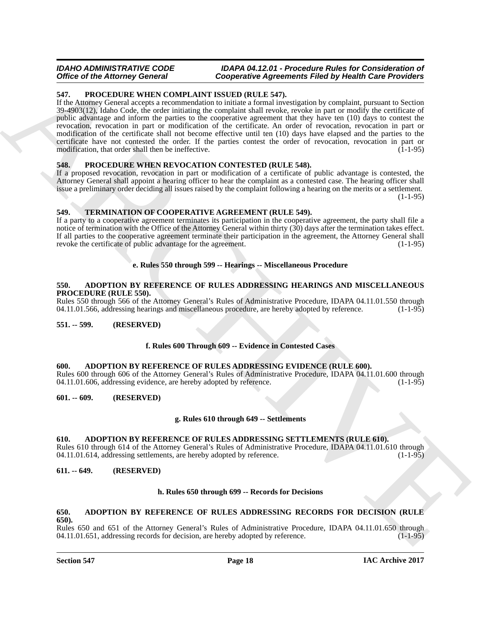## <span id="page-17-14"></span><span id="page-17-0"></span>**547. PROCEDURE WHEN COMPLAINT ISSUED (RULE 547).**

Office of the Alexany Governing Conservation Conservation Space Transmitten (and by the simulation of the Conservation Conservation Conservation Conservation Conservation Conservation Conservation Conservation Conservatio If the Attorney General accepts a recommendation to initiate a formal investigation by complaint, pursuant to Section 39-4903(12), Idaho Code, the order initiating the complaint shall revoke, revoke in part or modify the certificate of public advantage and inform the parties to the cooperative agreement that they have ten (10) days to contest the revocation, revocation in part or modification of the certificate. An order of revocation, revocation in part or modification of the certificate shall not become effective until ten (10) days have elapsed and the parties to the certificate have not contested the order. If the parties contest the order of revocation, revocation in part or modification, that order shall then be ineffective.  $(1-1-95)$ 

## <span id="page-17-15"></span><span id="page-17-1"></span>**548. PROCEDURE WHEN REVOCATION CONTESTED (RULE 548).**

If a proposed revocation, revocation in part or modification of a certificate of public advantage is contested, the Attorney General shall appoint a hearing officer to hear the complaint as a contested case. The hearing officer shall issue a preliminary order deciding all issues raised by the complaint following a hearing on the merits or a settlement.  $(1-1-95)$ 

## <span id="page-17-16"></span><span id="page-17-2"></span>**549. TERMINATION OF COOPERATIVE AGREEMENT (RULE 549).**

If a party to a cooperative agreement terminates its participation in the cooperative agreement, the party shall file a notice of termination with the Office of the Attorney General within thirty (30) days after the termination takes effect. If all parties to the cooperative agreement terminate their participation in the agreement, the Attorney General shall revoke the certificate of public advantage for the agreement. (1-1-95)

## **e. Rules 550 through 599 -- Hearings -- Miscellaneous Procedure**

#### <span id="page-17-11"></span><span id="page-17-3"></span>**550. ADOPTION BY REFERENCE OF RULES ADDRESSING HEARINGS AND MISCELLANEOUS PROCEDURE (RULE 550).**

Rules 550 through 566 of the Attorney General's Rules of Administrative Procedure, IDAPA 04.11.01.550 through 04.11.01.566, addressing hearings and miscellaneous procedure, are hereby adopted by reference. (1-1-95)

## <span id="page-17-4"></span>**551. -- 599. (RESERVED)**

## **f. Rules 600 Through 609 -- Evidence in Contested Cases**

#### <span id="page-17-10"></span><span id="page-17-5"></span>**600. ADOPTION BY REFERENCE OF RULES ADDRESSING EVIDENCE (RULE 600).**

Rules 600 through 606 of the Attorney General's Rules of Administrative Procedure, IDAPA 04.11.01.600 through 04.11.01.606 addressing evidence, are hereby adopted by reference. 04.11.01.606, addressing evidence, are hereby adopted by reference.

#### <span id="page-17-6"></span>**601. -- 609. (RESERVED)**

## **g. Rules 610 through 649 -- Settlements**

#### <span id="page-17-13"></span><span id="page-17-7"></span>**610. ADOPTION BY REFERENCE OF RULES ADDRESSING SETTLEMENTS (RULE 610).**

Rules 610 through 614 of the Attorney General's Rules of Administrative Procedure, IDAPA 04.11.01.610 through 04.11.01.614, addressing settlements, are hereby adopted by reference. (1-1-95)

### <span id="page-17-8"></span>**611. -- 649. (RESERVED)**

#### **h. Rules 650 through 699 -- Records for Decisions**

#### <span id="page-17-12"></span><span id="page-17-9"></span>**650. ADOPTION BY REFERENCE OF RULES ADDRESSING RECORDS FOR DECISION (RULE 650).**

Rules 650 and 651 of the Attorney General's Rules of Administrative Procedure, IDAPA 04.11.01.650 through 04.11.01.651, addressing records for decision, are hereby adopted by reference. (1-1-95) 04.11.01.651, addressing records for decision, are hereby adopted by reference.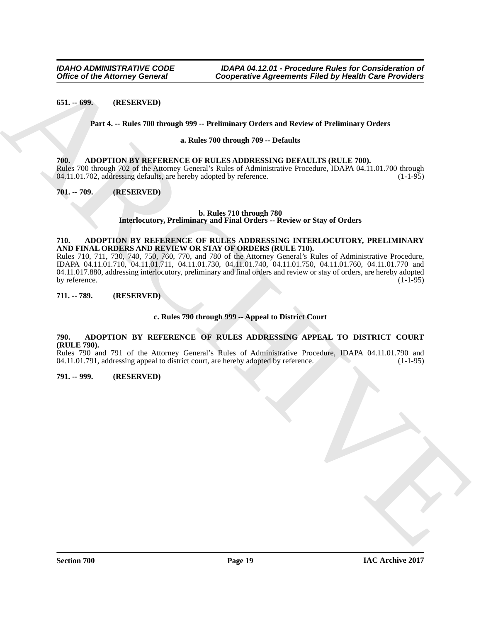## <span id="page-18-0"></span>**651. -- 699. (RESERVED)**

### **Part 4. -- Rules 700 through 999 -- Preliminary Orders and Review of Preliminary Orders**

#### **a. Rules 700 through 709 -- Defaults**

#### <span id="page-18-8"></span><span id="page-18-1"></span>**700. ADOPTION BY REFERENCE OF RULES ADDRESSING DEFAULTS (RULE 700).**

Rules 700 through 702 of the Attorney General's Rules of Administrative Procedure, IDAPA 04.11.01.700 through 04.11.01.702, addressing defaults, are hereby adopted by reference. 04.11.01.702, addressing defaults, are hereby adopted by reference.

<span id="page-18-2"></span>**701. -- 709. (RESERVED)**

#### **b. Rules 710 through 780 Interlocutory, Preliminary and Final Orders -- Review or Stay of Orders**

#### <span id="page-18-9"></span><span id="page-18-3"></span>**710. ADOPTION BY REFERENCE OF RULES ADDRESSING INTERLOCUTORY, PRELIMINARY AND FINAL ORDERS AND REVIEW OR STAY OF ORDERS (RULE 710).**

Office of the Attorney General<br>
Cooperative Agreements Filid by Health Controller<br>
(61. – 699. IRESERVIED)<br>
Part 4. – Heat-760 Broad Potter Start Marchives (Potter and Recker of Preiminary Orders<br>
IRENE 700-<br>
ARCHIVES IN Rules 710, 711, 730, 740, 750, 760, 770, and 780 of the Attorney General's Rules of Administrative Procedure, IDAPA 04.11.01.710, 04.11.01.711, 04.11.01.730, 04.11.01.740, 04.11.01.750, 04.11.01.760, 04.11.01.770 and 04.11.017.880, addressing interlocutory, preliminary and final orders and review or stay of orders, are hereby adopted by reference. (1-1-95) (1-1-95)

## <span id="page-18-4"></span>**711. -- 789. (RESERVED)**

### **c. Rules 790 through 999 -- Appeal to District Court**

## <span id="page-18-7"></span><span id="page-18-5"></span>**790. ADOPTION BY REFERENCE OF RULES ADDRESSING APPEAL TO DISTRICT COURT (RULE 790).**

Rules 790 and 791 of the Attorney General's Rules of Administrative Procedure, IDAPA 04.11.01.790 and 04.11.01.791 addressing appeal to district court, are hereby adopted by reference.  $04.11.01.791$ , addressing appeal to district court, are hereby adopted by reference.

#### <span id="page-18-6"></span>**791. -- 999. (RESERVED)**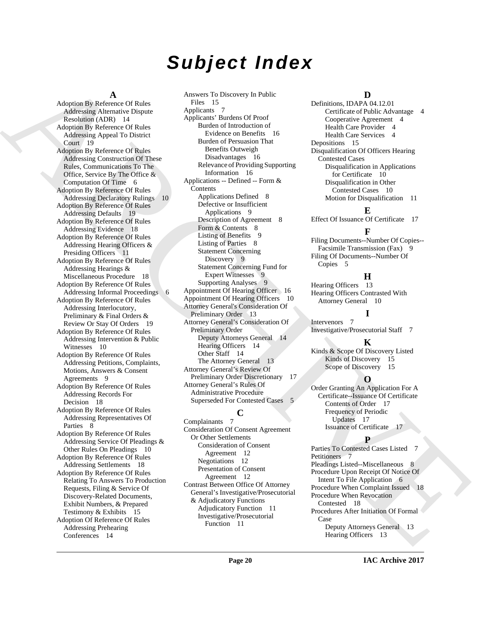# *Subject Index*

#### **A**

[AR](#page-5-10)[C](#page-8-7)[H](#page-12-2)[I](#page-4-5)[V](#page-16-7)[E](#page-5-12) Adoption By Reference Of Rules Addressing Alternative Dispute Resolution (ADR) 14 Adoption By Reference Of Rules Addressing Appeal To District Court 19 Adoption By Reference Of Rules Addressing Construction Of These Rules, Communications To The Office, Service By The Office & Computation Of Time 6 Adoption By Reference Of Rules Addressing Declaratory Rulings 10 Adoption By Reference Of Rules Addressing Defaults 19 Adoption By Reference Of Rules Addressing Evidence 18 Adoption By Reference Of Rules Addressing Hearing Officers & Presiding Officers 11 Adoption By Reference Of Rules Addressing Hearings & Miscellaneous Procedure 18 Adoption By Reference Of Rules Addressing Informal Proceedings 6 Adoption By Reference Of Rules Addressing Interlocutory, Preliminary & Final Orders & Review Or Stay Of Orders 19 Adoption By Reference Of Rules Addressing Intervention & Public Witnesses 10 Adoption By Reference Of Rules Addressing Petitions, Complaints, Motions, Answers & Consent Agreements 9 Adoption By Reference Of Rules Addressing Records For Decision 18 Adoption By Reference Of Rules Addressing Representatives Of Parties 8 Adoption By Reference Of Rules Addressing Service Of Pleadings & Other Rules On Pleadings 10 Adoption By Reference Of Rules Addressing Settlements 18 Adoption By Reference Of Rules Relating To Answers To Production Requests, Filing & Service Of Discovery-Related Documents, Exhibit Numbers, & Prepared Testimony & Exhibits 15 Adoption Of Reference Of Rules Addressing Prehearing Conferences 14

Answers To Discovery In Public Files 15 Applicants 7 Applicants' Burdens Of Proof Burden of Introduction of Evidence on Benefits 16 Burden of Persuasion That Benefits Outweigh Disadvantages 16 Relevance of Providing Supporting Information 16 Applications -- Defined -- Form & Contents Applications Defined 8 Defective or Insufficient Applications 9 Description of Agreement 8 Form & Contents 8 Listing of Benefits 9 Listing of Parties 8 Statement Concerning Discovery 9 Statement Concerning Fund for Expert Witnesses 9 Supporting Analyses 9 Appointment Of Hearing Officer 16 Appointment Of Hearing Officers 10 Attorney General's Consideration Of Preliminary Order 13 Attorney General's Consideration Of Preliminary Order Deputy Attorneys General 14 Hearing Officers 14 Other Staff 14 The Attorney General 13 Attorney General's Review Of Preliminary Order Discretionary 17 Attorney General's Rules Of Administrative Procedure Superseded For Contested Cases 5 **C**

Complainants 7 Consideration Of Consent Agreement Or Other Settlements Consideration of Consent Agreement 12 Negotiations 12 Presentation of Consent Agreement 12 Contrast Between Office Of Attorney General's Investigative/Prosecutorial & Adjudicatory Functions Adjudicatory Function 11 Investigative/Prosecutorial Function 11

## **D**

Definitions, IDAPA 04.12.01 Certificate of Public Advantage 4 Cooperative Agreement 4 Health Care Provider 4 Health Care Services 4 Depositions 15 Disqualification Of Officers Hearing Contested Cases Disqualification in Applications for Certificate 10 Disqualification in Other Contested Cases 10 Motion for Disqualification 11

**E** Effect Of Issuance Of Certificate 17

## **F**

Filing Documents--Number Of Copies-- Facsimile Transmission (Fax) 9 Filing Of Documents--Number Of Copies 5

## **H**

Hearing Officers 13 Hearing Officers Contrasted With Attorney General 10

**I**

Intervenors 7 Investigative/Prosecutorial Staff 7

## **K**

Kinds & Scope Of Discovery Listed Kinds of Discovery 15 Scope of Discovery 15

## **O**

Order Granting An Application For A Certificate--Issuance Of Certificate Contents of Order 17 Frequency of Periodic Updates 17 Issuance of Certificate 17

## **P**

Parties To Contested Cases Listed 7 Petitioners Pleadings Listed--Miscellaneous 8 Procedure Upon Receipt Of Notice Of Intent To File Application 6 Procedure When Complaint Issued 18 Procedure When Revocation Contested 18 Procedures After Initiation Of Formal Case Deputy Attorneys General 13 Hearing Officers 13